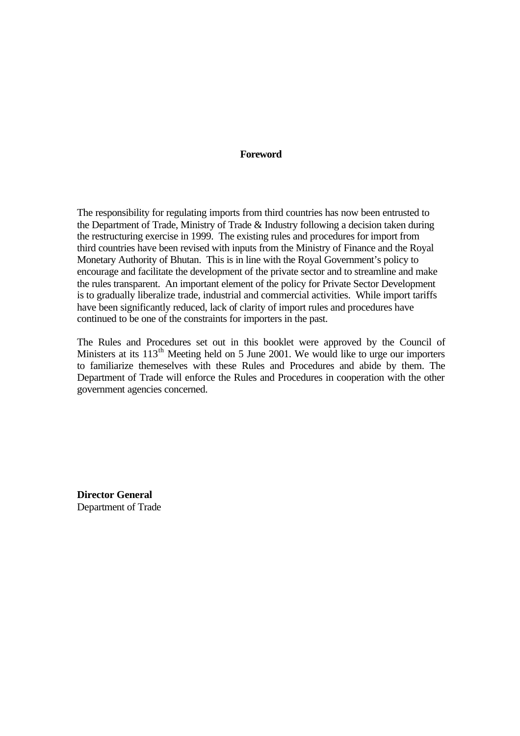# **Foreword**

The responsibility for regulating imports from third countries has now been entrusted to the Department of Trade, Ministry of Trade & Industry following a decision taken during the restructuring exercise in 1999. The existing rules and procedures for import from third countries have been revised with inputs from the Ministry of Finance and the Royal Monetary Authority of Bhutan. This is in line with the Royal Government's policy to encourage and facilitate the development of the private sector and to streamline and make the rules transparent. An important element of the policy for Private Sector Development is to gradually liberalize trade, industrial and commercial activities. While import tariffs have been significantly reduced, lack of clarity of import rules and procedures have continued to be one of the constraints for importers in the past.

The Rules and Procedures set out in this booklet were approved by the Council of Ministers at its 113<sup>th</sup> Meeting held on 5 June 2001. We would like to urge our importers to familiarize themeselves with these Rules and Procedures and abide by them. The Department of Trade will enforce the Rules and Procedures in cooperation with the other government agencies concerned.

**Director General** Department of Trade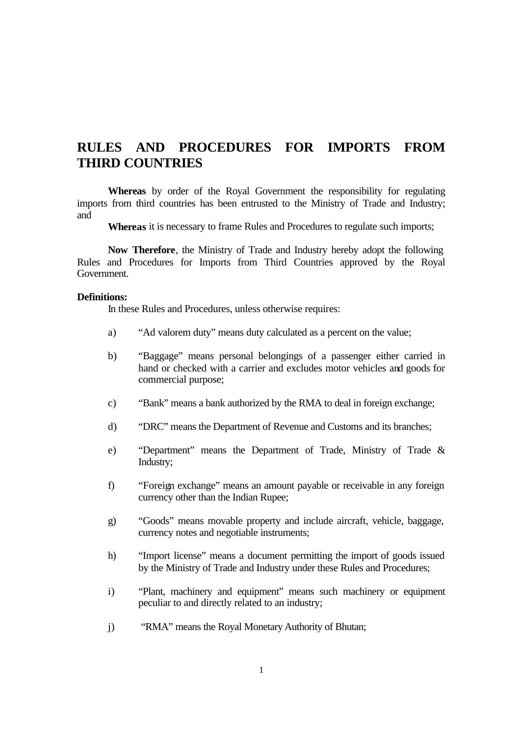# **RULES AND PROCEDURES FOR IMPORTS FROM THIRD COUNTRIES**

**Whereas** by order of the Royal Government the responsibility for regulating imports from third countries has been entrusted to the Ministry of Trade and Industry; and

**Whereas** it is necessary to frame Rules and Procedures to regulate such imports;

**Now Therefore**, the Ministry of Trade and Industry hereby adopt the following Rules and Procedures for Imports from Third Countries approved by the Royal Government.

#### **Definitions:**

In these Rules and Procedures, unless otherwise requires:

- a) "Ad valorem duty" means duty calculated as a percent on the value;
- b) "Baggage" means personal belongings of a passenger either carried in hand or checked with a carrier and excludes motor vehicles and goods for commercial purpose;
- c) "Bank" means a bank authorized by the RMA to deal in foreign exchange;
- d) "DRC" means the Department of Revenue and Customs and its branches;
- e) "Department" means the Department of Trade, Ministry of Trade & Industry;
- f) "Foreign exchange" means an amount payable or receivable in any foreign currency other than the Indian Rupee;
- g) "Goods" means movable property and include aircraft, vehicle, baggage, currency notes and negotiable instruments;
- h) "Import license" means a document permitting the import of goods issued by the Ministry of Trade and Industry under these Rules and Procedures;
- i) "Plant, machinery and equipment" means such machinery or equipment peculiar to and directly related to an industry;
- j) "RMA" means the Royal Monetary Authority of Bhutan;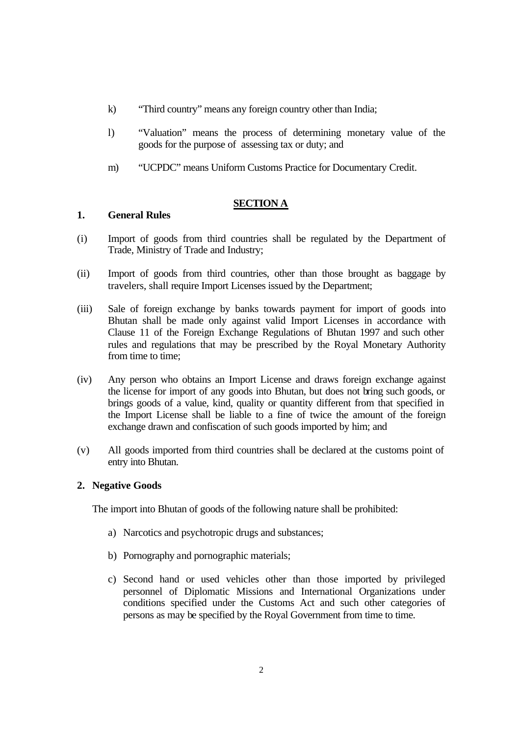- k) "Third country" means any foreign country other than India;
- l) "Valuation" means the process of determining monetary value of the goods for the purpose of assessing tax or duty; and
- m) "UCPDC" means Uniform Customs Practice for Documentary Credit.

# **SECTION A**

# **1. General Rules**

- (i) Import of goods from third countries shall be regulated by the Department of Trade, Ministry of Trade and Industry;
- (ii) Import of goods from third countries, other than those brought as baggage by travelers, shall require Import Licenses issued by the Department;
- (iii) Sale of foreign exchange by banks towards payment for import of goods into Bhutan shall be made only against valid Import Licenses in accordance with Clause 11 of the Foreign Exchange Regulations of Bhutan 1997 and such other rules and regulations that may be prescribed by the Royal Monetary Authority from time to time:
- (iv) Any person who obtains an Import License and draws foreign exchange against the license for import of any goods into Bhutan, but does not bring such goods, or brings goods of a value, kind, quality or quantity different from that specified in the Import License shall be liable to a fine of twice the amount of the foreign exchange drawn and confiscation of such goods imported by him; and
- (v) All goods imported from third countries shall be declared at the customs point of entry into Bhutan.

# **2. Negative Goods**

The import into Bhutan of goods of the following nature shall be prohibited:

- a) Narcotics and psychotropic drugs and substances;
- b) Pornography and pornographic materials;
- c) Second hand or used vehicles other than those imported by privileged personnel of Diplomatic Missions and International Organizations under conditions specified under the Customs Act and such other categories of persons as may be specified by the Royal Government from time to time.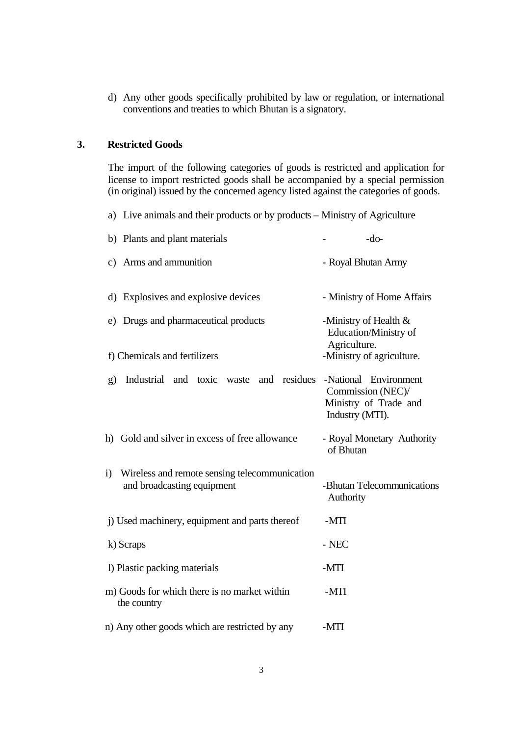d) Any other goods specifically prohibited by law or regulation, or international conventions and treaties to which Bhutan is a signatory.

# **3. Restricted Goods**

The import of the following categories of goods is restricted and application for license to import restricted goods shall be accompanied by a special permission (in original) issued by the concerned agency listed against the categories of goods.

a) Live animals and their products or by products – Ministry of Agriculture

| b) Plants and plant materials                                                               | $-do-$                                                                                 |
|---------------------------------------------------------------------------------------------|----------------------------------------------------------------------------------------|
| c) Arms and ammunition                                                                      | - Royal Bhutan Army                                                                    |
| d) Explosives and explosive devices                                                         | - Ministry of Home Affairs                                                             |
| e) Drugs and pharmaceutical products                                                        | -Ministry of Health $&$<br>Education/Ministry of                                       |
| f) Chemicals and fertilizers                                                                | Agriculture.<br>-Ministry of agriculture.                                              |
| Industrial and toxic<br>and residues<br>g)<br>waste                                         | -National Environment<br>Commission (NEC)/<br>Ministry of Trade and<br>Industry (MTI). |
| h) Gold and silver in excess of free allowance                                              | - Royal Monetary Authority<br>of Bhutan                                                |
| Wireless and remote sensing telecommunication<br>$\mathbf{i}$<br>and broadcasting equipment | -Bhutan Telecommunications<br>Authority                                                |
| j) Used machinery, equipment and parts thereof                                              | $-MTI$                                                                                 |
| k) Scraps                                                                                   | $-$ NEC                                                                                |
| 1) Plastic packing materials                                                                | $-MTI$                                                                                 |
| m) Goods for which there is no market within<br>the country                                 | $-MTI$                                                                                 |
| n) Any other goods which are restricted by any                                              | $-MTI$                                                                                 |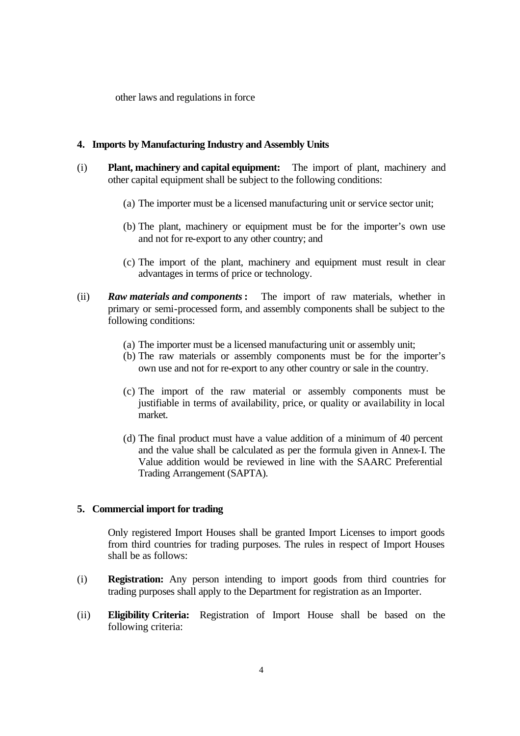other laws and regulations in force

## **4. Imports by Manufacturing Industry and Assembly Units**

- (i) **Plant, machinery and capital equipment:** The import of plant, machinery and other capital equipment shall be subject to the following conditions:
	- (a) The importer must be a licensed manufacturing unit or service sector unit;
	- (b) The plant, machinery or equipment must be for the importer's own use and not for re-export to any other country; and
	- (c) The import of the plant, machinery and equipment must result in clear advantages in terms of price or technology.
- (ii) *Raw materials and components* **:** The import of raw materials, whether in primary or semi-processed form, and assembly components shall be subject to the following conditions:
	- (a) The importer must be a licensed manufacturing unit or assembly unit;
	- (b) The raw materials or assembly components must be for the importer's own use and not for re-export to any other country or sale in the country.
	- (c) The import of the raw material or assembly components must be justifiable in terms of availability, price, or quality or availability in local market.
	- (d) The final product must have a value addition of a minimum of 40 percent and the value shall be calculated as per the formula given in Annex-I. The Value addition would be reviewed in line with the SAARC Preferential Trading Arrangement (SAPTA).

#### **5. Commercial import for trading**

Only registered Import Houses shall be granted Import Licenses to import goods from third countries for trading purposes. The rules in respect of Import Houses shall be as follows:

- (i) **Registration:** Any person intending to import goods from third countries for trading purposes shall apply to the Department for registration as an Importer.
- (ii) **Eligibility Criteria:** Registration of Import House shall be based on the following criteria: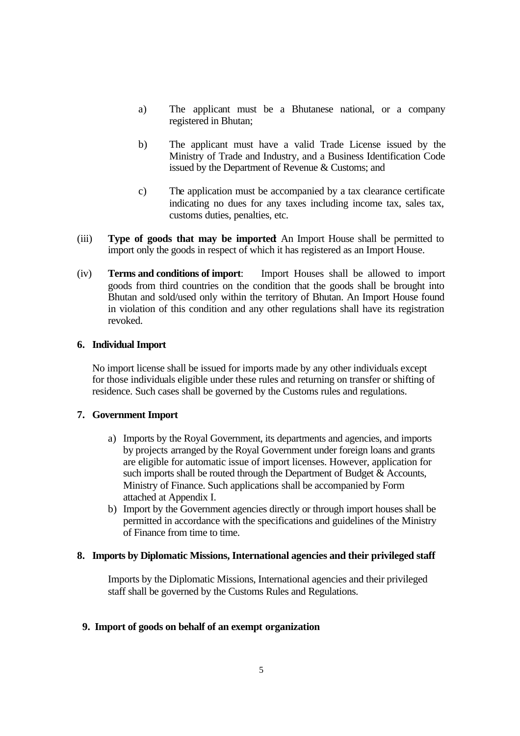- a) The applicant must be a Bhutanese national, or a company registered in Bhutan;
- b) The applicant must have a valid Trade License issued by the Ministry of Trade and Industry, and a Business Identification Code issued by the Department of Revenue & Customs; and
- c) The application must be accompanied by a tax clearance certificate indicating no dues for any taxes including income tax, sales tax, customs duties, penalties, etc.
- (iii) **Type of goods that may be imported**: An Import House shall be permitted to import only the goods in respect of which it has registered as an Import House.
- (iv) **Terms and conditions of import**: Import Houses shall be allowed to import goods from third countries on the condition that the goods shall be brought into Bhutan and sold/used only within the territory of Bhutan. An Import House found in violation of this condition and any other regulations shall have its registration revoked.

## **6. Individual Import**

No import license shall be issued for imports made by any other individuals except for those individuals eligible under these rules and returning on transfer or shifting of residence. Such cases shall be governed by the Customs rules and regulations.

#### **7. Government Import**

- a) Imports by the Royal Government, its departments and agencies, and imports by projects arranged by the Royal Government under foreign loans and grants are eligible for automatic issue of import licenses. However, application for such imports shall be routed through the Department of Budget & Accounts, Ministry of Finance. Such applications shall be accompanied by Form attached at Appendix I.
- b) Import by the Government agencies directly or through import houses shall be permitted in accordance with the specifications and guidelines of the Ministry of Finance from time to time.

#### **8. Imports by Diplomatic Missions, International agencies and their privileged staff**

Imports by the Diplomatic Missions, International agencies and their privileged staff shall be governed by the Customs Rules and Regulations.

## **9. Import of goods on behalf of an exempt organization**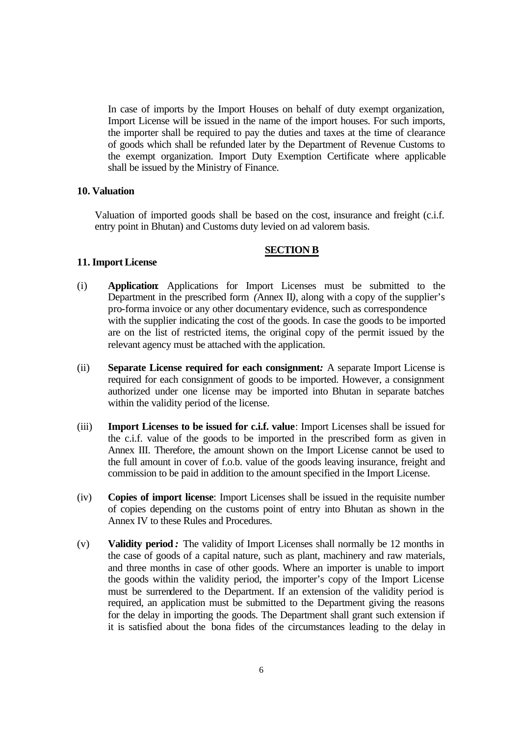In case of imports by the Import Houses on behalf of duty exempt organization, Import License will be issued in the name of the import houses. For such imports, the importer shall be required to pay the duties and taxes at the time of clearance of goods which shall be refunded later by the Department of Revenue Customs to the exempt organization. Import Duty Exemption Certificate where applicable shall be issued by the Ministry of Finance.

#### **10. Valuation**

Valuation of imported goods shall be based on the cost, insurance and freight (c.i.f. entry point in Bhutan) and Customs duty levied on ad valorem basis.

#### **SECTION B**

#### **11. Import License**

- (i) **Application**: Applications for Import Licenses must be submitted to the Department in the prescribed form *(*Annex II*)*, along with a copy of the supplier's pro-forma invoice or any other documentary evidence, such as correspondence with the supplier indicating the cost of the goods. In case the goods to be imported are on the list of restricted items, the original copy of the permit issued by the relevant agency must be attached with the application.
- (ii) **Separate License required for each consignment***:* A separate Import License is required for each consignment of goods to be imported. However, a consignment authorized under one license may be imported into Bhutan in separate batches within the validity period of the license.
- (iii) **Import Licenses to be issued for c.i.f. value**: Import Licenses shall be issued for the c.i.f. value of the goods to be imported in the prescribed form as given in Annex III. Therefore, the amount shown on the Import License cannot be used to the full amount in cover of f.o.b. value of the goods leaving insurance, freight and commission to be paid in addition to the amount specified in the Import License.
- (iv) **Copies of import license**: Import Licenses shall be issued in the requisite number of copies depending on the customs point of entry into Bhutan as shown in the Annex IV to these Rules and Procedures.
- (v) **Validity period** *:* The validity of Import Licenses shall normally be 12 months in the case of goods of a capital nature, such as plant, machinery and raw materials, and three months in case of other goods. Where an importer is unable to import the goods within the validity period, the importer's copy of the Import License must be surrendered to the Department. If an extension of the validity period is required, an application must be submitted to the Department giving the reasons for the delay in importing the goods. The Department shall grant such extension if it is satisfied about the bona fides of the circumstances leading to the delay in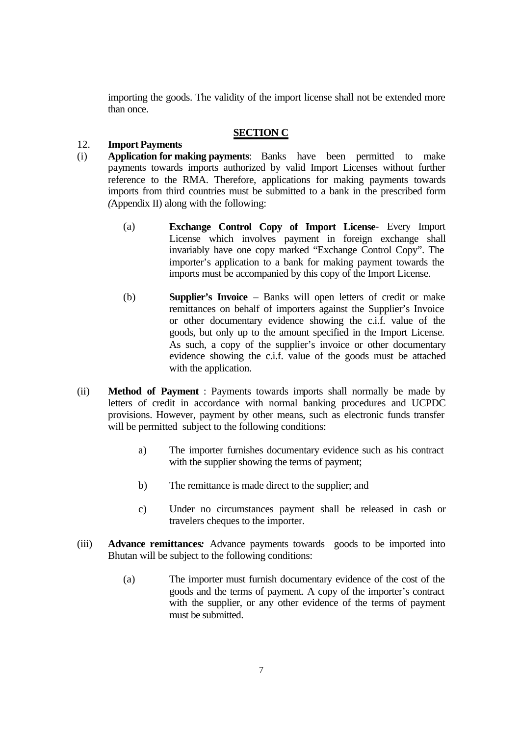importing the goods. The validity of the import license shall not be extended more than once.

# **SECTION C**

## 12. **Import Payments**

- (i) **Application for making payments**: Banks have been permitted to make payments towards imports authorized by valid Import Licenses without further reference to the RMA. Therefore, applications for making payments towards imports from third countries must be submitted to a bank in the prescribed form *(*Appendix II) along with the following:
	- (a) **Exchange Control Copy of Import License** Every Import License which involves payment in foreign exchange shall invariably have one copy marked "Exchange Control Copy". The importer's application to a bank for making payment towards the imports must be accompanied by this copy of the Import License.
	- (b) **Supplier's Invoice** Banks will open letters of credit or make remittances on behalf of importers against the Supplier's Invoice or other documentary evidence showing the c.i.f. value of the goods, but only up to the amount specified in the Import License. As such, a copy of the supplier's invoice or other documentary evidence showing the c.i.f. value of the goods must be attached with the application.
- (ii) **Method of Payment** : Payments towards imports shall normally be made by letters of credit in accordance with normal banking procedures and UCPDC provisions. However, payment by other means, such as electronic funds transfer will be permitted subject to the following conditions:
	- a) The importer furnishes documentary evidence such as his contract with the supplier showing the terms of payment;
	- b) The remittance is made direct to the supplier; and
	- c) Under no circumstances payment shall be released in cash or travelers cheques to the importer.
- (iii) **Advance remittances***:* Advance payments towards goods to be imported into Bhutan will be subject to the following conditions:
	- (a) The importer must furnish documentary evidence of the cost of the goods and the terms of payment. A copy of the importer's contract with the supplier, or any other evidence of the terms of payment must be submitted.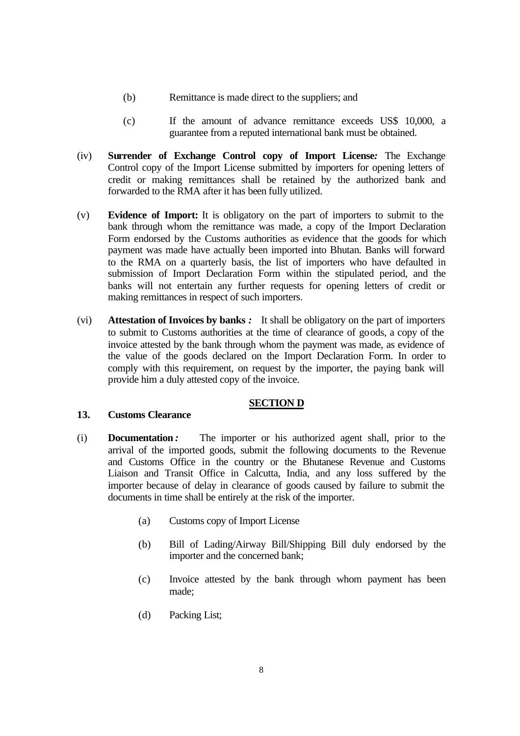- (b) Remittance is made direct to the suppliers; and
- (c) If the amount of advance remittance exceeds US\$ 10,000, a guarantee from a reputed international bank must be obtained.
- (iv) **Surrender of Exchange Control copy of Import License***:* The Exchange Control copy of the Import License submitted by importers for opening letters of credit or making remittances shall be retained by the authorized bank and forwarded to the RMA after it has been fully utilized.
- (v) **Evidence of Import:** It is obligatory on the part of importers to submit to the bank through whom the remittance was made, a copy of the Import Declaration Form endorsed by the Customs authorities as evidence that the goods for which payment was made have actually been imported into Bhutan. Banks will forward to the RMA on a quarterly basis, the list of importers who have defaulted in submission of Import Declaration Form within the stipulated period, and the banks will not entertain any further requests for opening letters of credit or making remittances in respect of such importers.
- (vi) **Attestation of Invoices by banks** *:* It shall be obligatory on the part of importers to submit to Customs authorities at the time of clearance of goods, a copy of the invoice attested by the bank through whom the payment was made, as evidence of the value of the goods declared on the Import Declaration Form. In order to comply with this requirement, on request by the importer, the paying bank will provide him a duly attested copy of the invoice.

# **SECTION D**

# **13. Customs Clearance**

- (i) **Documentation** *:* The importer or his authorized agent shall, prior to the arrival of the imported goods, submit the following documents to the Revenue and Customs Office in the country or the Bhutanese Revenue and Customs Liaison and Transit Office in Calcutta, India, and any loss suffered by the importer because of delay in clearance of goods caused by failure to submit the documents in time shall be entirely at the risk of the importer.
	- (a) Customs copy of Import License
	- (b) Bill of Lading/Airway Bill/Shipping Bill duly endorsed by the importer and the concerned bank;
	- (c) Invoice attested by the bank through whom payment has been made;
	- (d) Packing List;